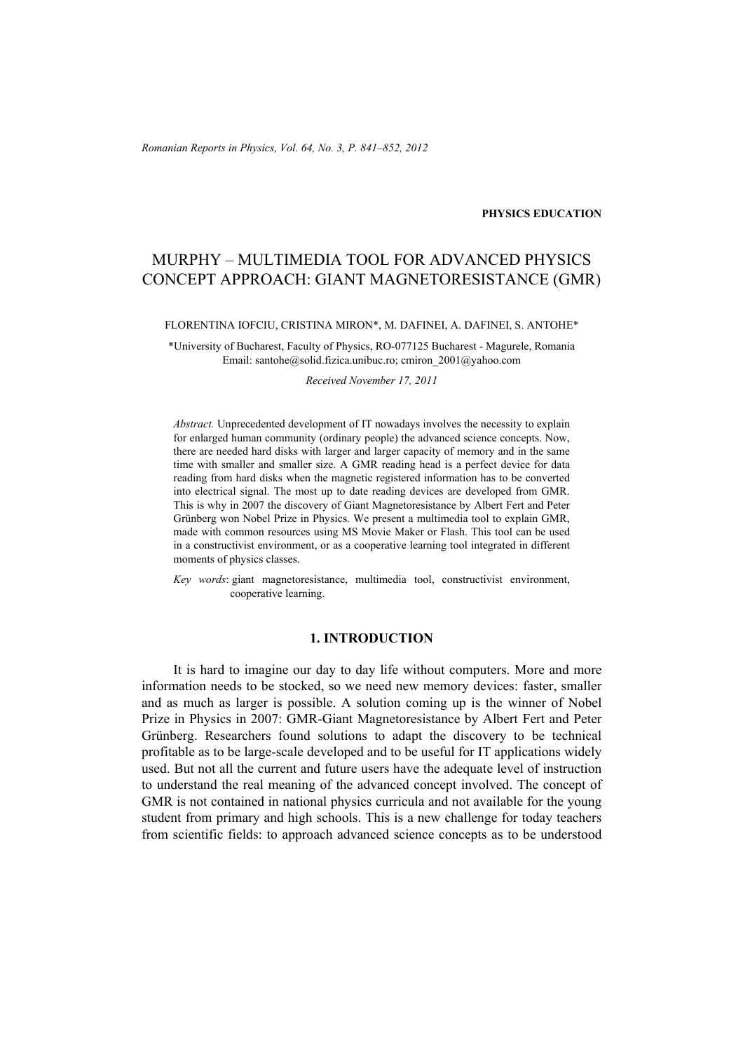*Romanian Reports in Physics, Vol. 64, No. 3, P. 841–852, 2012*

**PHYSICS EDUCATION**

# MURPHY – MULTIMEDIA TOOL FOR ADVANCED PHYSICS CONCEPT APPROACH: GIANT MAGNETORESISTANCE (GMR)

FLORENTINA IOFCIU, CRISTINA MIRON\*, M. DAFINEI, A. DAFINEI, S. ANTOHE\*

\*University of Bucharest, Faculty of Physics, RO-077125 Bucharest - Magurele, Romania Email: santohe@solid.fizica.unibuc.ro; cmiron\_2001@yahoo.com

*Received November 17, 2011* 

*Abstract.* Unprecedented development of IT nowadays involves the necessity to explain for enlarged human community (ordinary people) the advanced science concepts. Now, there are needed hard disks with larger and larger capacity of memory and in the same time with smaller and smaller size. A GMR reading head is a perfect device for data reading from hard disks when the magnetic registered information has to be converted into electrical signal. The most up to date reading devices are developed from GMR. This is why in 2007 the discovery of Giant Magnetoresistance by Albert Fert and Peter Grünberg won Nobel Prize in Physics. We present a multimedia tool to explain GMR, made with common resources using MS Movie Maker or Flash. This tool can be used in a constructivist environment, or as a cooperative learning tool integrated in different moments of physics classes.

*Key words*: giant magnetoresistance, multimedia tool, constructivist environment, cooperative learning.

# **1. INTRODUCTION**

It is hard to imagine our day to day life without computers. More and more information needs to be stocked, so we need new memory devices: faster, smaller and as much as larger is possible. A solution coming up is the winner of Nobel Prize in Physics in 2007: GMR-Giant Magnetoresistance by Albert Fert and Peter Grünberg. Researchers found solutions to adapt the discovery to be technical profitable as to be large-scale developed and to be useful for IT applications widely used. But not all the current and future users have the adequate level of instruction to understand the real meaning of the advanced concept involved. The concept of GMR is not contained in national physics curricula and not available for the young student from primary and high schools. This is a new challenge for today teachers from scientific fields: to approach advanced science concepts as to be understood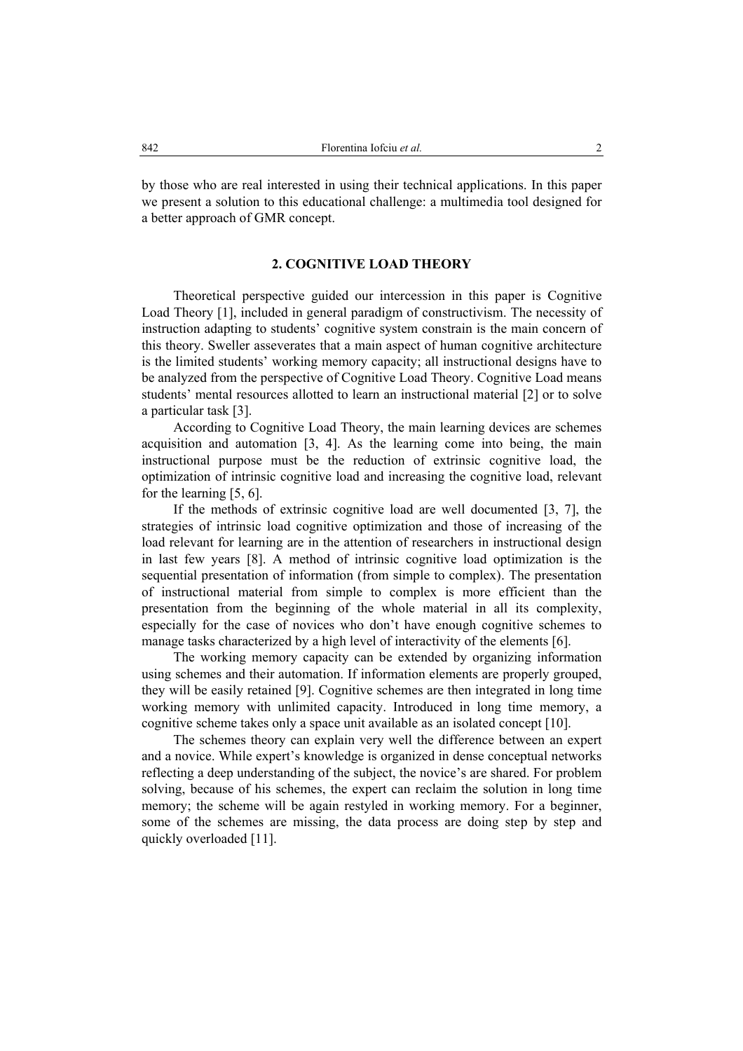by those who are real interested in using their technical applications. In this paper we present a solution to this educational challenge: a multimedia tool designed for a better approach of GMR concept.

## **2. COGNITIVE LOAD THEORY**

Theoretical perspective guided our intercession in this paper is Cognitive Load Theory [1], included in general paradigm of constructivism. The necessity of instruction adapting to students' cognitive system constrain is the main concern of this theory. Sweller asseverates that a main aspect of human cognitive architecture is the limited students' working memory capacity; all instructional designs have to be analyzed from the perspective of Cognitive Load Theory. Cognitive Load means students' mental resources allotted to learn an instructional material [2] or to solve a particular task [3].

According to Cognitive Load Theory, the main learning devices are schemes acquisition and automation [3, 4]. As the learning come into being, the main instructional purpose must be the reduction of extrinsic cognitive load, the optimization of intrinsic cognitive load and increasing the cognitive load, relevant for the learning [5, 6].

If the methods of extrinsic cognitive load are well documented [3, 7], the strategies of intrinsic load cognitive optimization and those of increasing of the load relevant for learning are in the attention of researchers in instructional design in last few years [8]. A method of intrinsic cognitive load optimization is the sequential presentation of information (from simple to complex). The presentation of instructional material from simple to complex is more efficient than the presentation from the beginning of the whole material in all its complexity, especially for the case of novices who don't have enough cognitive schemes to manage tasks characterized by a high level of interactivity of the elements [6].

The working memory capacity can be extended by organizing information using schemes and their automation. If information elements are properly grouped, they will be easily retained [9]. Cognitive schemes are then integrated in long time working memory with unlimited capacity. Introduced in long time memory, a cognitive scheme takes only a space unit available as an isolated concept [10].

The schemes theory can explain very well the difference between an expert and a novice. While expert's knowledge is organized in dense conceptual networks reflecting a deep understanding of the subject, the novice's are shared. For problem solving, because of his schemes, the expert can reclaim the solution in long time memory; the scheme will be again restyled in working memory. For a beginner, some of the schemes are missing, the data process are doing step by step and quickly overloaded [11].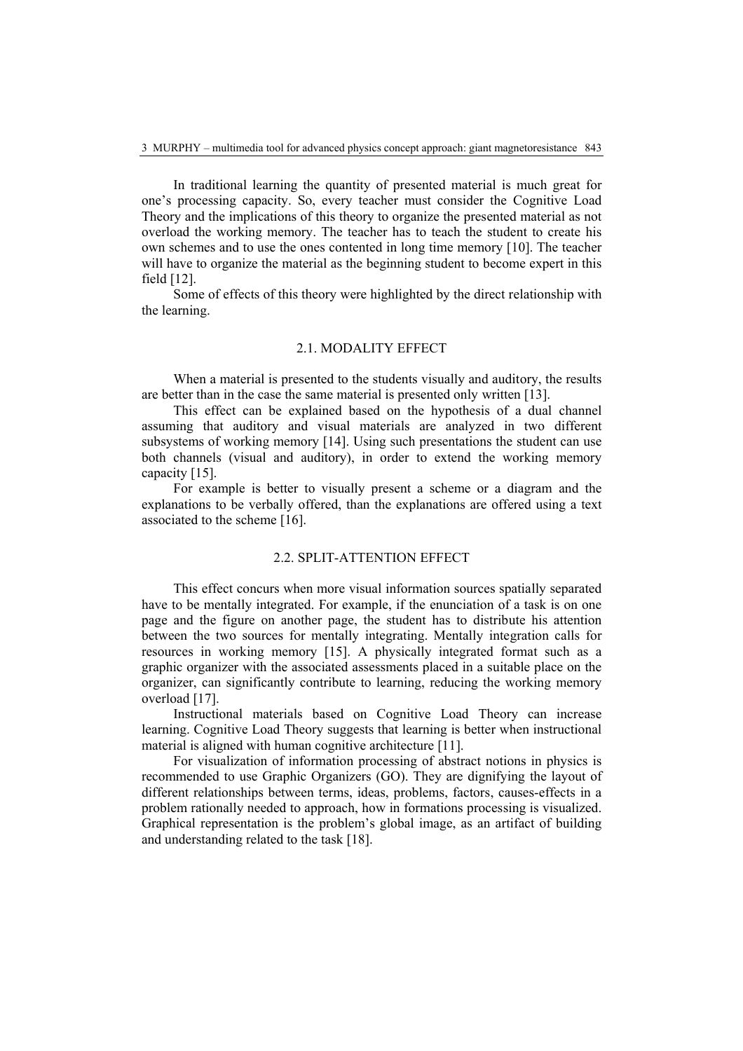In traditional learning the quantity of presented material is much great for one's processing capacity. So, every teacher must consider the Cognitive Load Theory and the implications of this theory to organize the presented material as not overload the working memory. The teacher has to teach the student to create his own schemes and to use the ones contented in long time memory [10]. The teacher will have to organize the material as the beginning student to become expert in this field [12].

Some of effects of this theory were highlighted by the direct relationship with the learning.

# 2.1. MODALITY EFFECT

When a material is presented to the students visually and auditory, the results are better than in the case the same material is presented only written [13].

This effect can be explained based on the hypothesis of a dual channel assuming that auditory and visual materials are analyzed in two different subsystems of working memory [14]. Using such presentations the student can use both channels (visual and auditory), in order to extend the working memory capacity [15].

For example is better to visually present a scheme or a diagram and the explanations to be verbally offered, than the explanations are offered using a text associated to the scheme [16].

# 2.2. SPLIT-ATTENTION EFFECT

This effect concurs when more visual information sources spatially separated have to be mentally integrated. For example, if the enunciation of a task is on one page and the figure on another page, the student has to distribute his attention between the two sources for mentally integrating. Mentally integration calls for resources in working memory [15]. A physically integrated format such as a graphic organizer with the associated assessments placed in a suitable place on the organizer, can significantly contribute to learning, reducing the working memory overload [17].

Instructional materials based on Cognitive Load Theory can increase learning. Cognitive Load Theory suggests that learning is better when instructional material is aligned with human cognitive architecture [11].

For visualization of information processing of abstract notions in physics is recommended to use Graphic Organizers (GO). They are dignifying the layout of different relationships between terms, ideas, problems, factors, causes-effects in a problem rationally needed to approach, how in formations processing is visualized. Graphical representation is the problem's global image, as an artifact of building and understanding related to the task [18].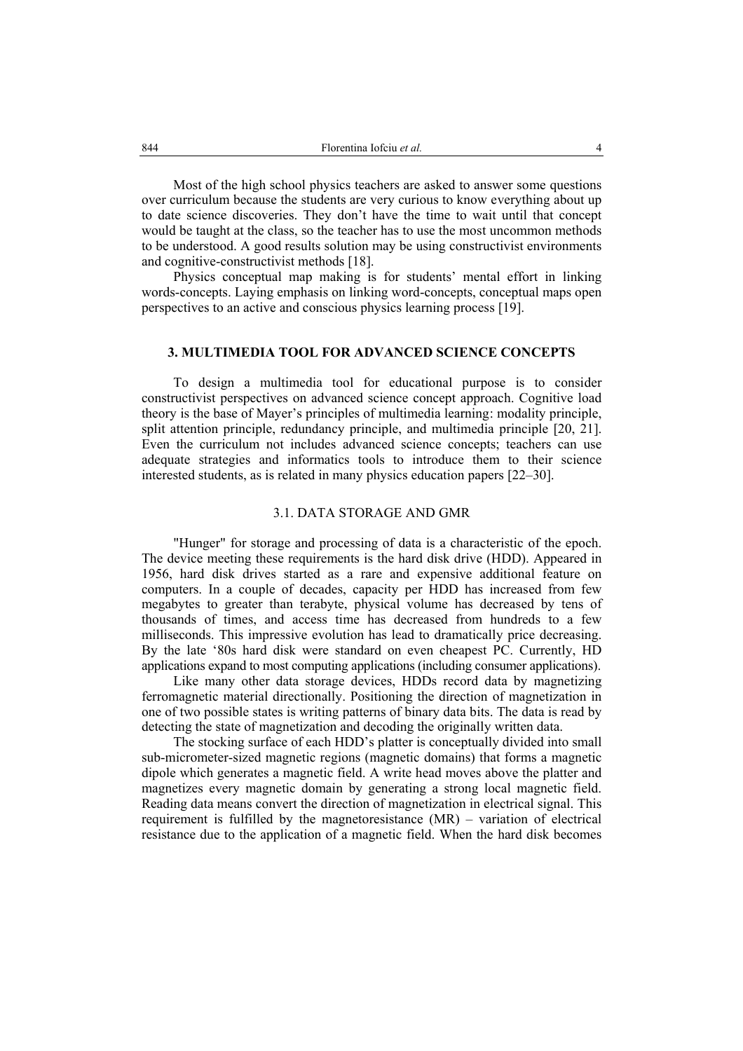Most of the high school physics teachers are asked to answer some questions over curriculum because the students are very curious to know everything about up to date science discoveries. They don't have the time to wait until that concept would be taught at the class, so the teacher has to use the most uncommon methods to be understood. A good results solution may be using constructivist environments and cognitive-constructivist methods [18].

Physics conceptual map making is for students' mental effort in linking words-concepts. Laying emphasis on linking word-concepts, conceptual maps open perspectives to an active and conscious physics learning process [19].

### **3. MULTIMEDIA TOOL FOR ADVANCED SCIENCE CONCEPTS**

To design a multimedia tool for educational purpose is to consider constructivist perspectives on advanced science concept approach. Cognitive load theory is the base of Mayer's principles of multimedia learning: modality principle, split attention principle, redundancy principle, and multimedia principle [20, 21]. Even the curriculum not includes advanced science concepts; teachers can use adequate strategies and informatics tools to introduce them to their science interested students, as is related in many physics education papers [22–30].

## 3.1. DATA STORAGE AND GMR

"Hunger" for storage and processing of data is a characteristic of the epoch. The device meeting these requirements is the hard disk drive (HDD). Appeared in 1956, hard disk drives started as a rare and expensive additional feature on computers. In a couple of decades, capacity per HDD has increased from few megabytes to greater than terabyte, physical volume has decreased by tens of thousands of times, and access time has decreased from hundreds to a few milliseconds. This impressive evolution has lead to dramatically price decreasing. By the late '80s hard disk were standard on even cheapest PC. Currently, HD applications expand to most computing applications (including consumer applications).

Like many other data storage devices, HDDs record data by magnetizing ferromagnetic material directionally. Positioning the direction of magnetization in one of two possible states is writing patterns of binary data bits. The data is read by detecting the state of magnetization and decoding the originally written data.

The stocking surface of each HDD's platter is conceptually divided into small sub-micrometer-sized magnetic regions (magnetic domains) that forms a magnetic dipole which generates a magnetic field. A write head moves above the platter and magnetizes every magnetic domain by generating a strong local magnetic field. Reading data means convert the direction of magnetization in electrical signal. This requirement is fulfilled by the magnetoresistance (MR) – variation of electrical resistance due to the application of a magnetic field. When the hard disk becomes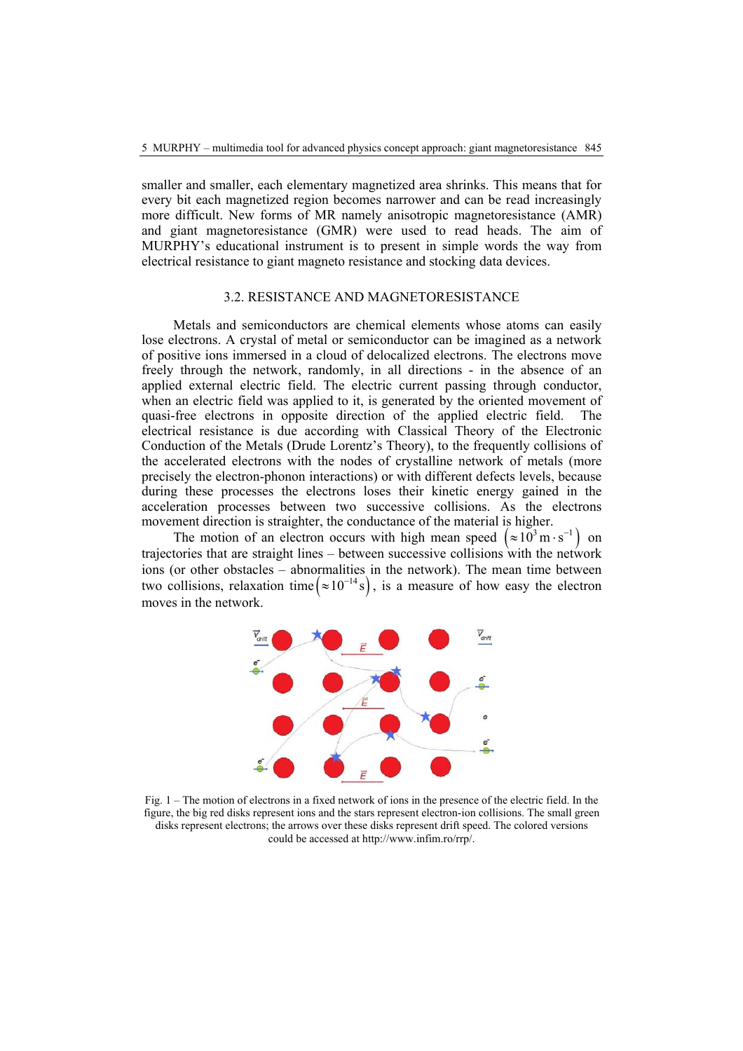smaller and smaller, each elementary magnetized area shrinks. This means that for every bit each magnetized region becomes narrower and can be read increasingly more difficult. New forms of MR namely anisotropic magnetoresistance (AMR) and giant magnetoresistance (GMR) were used to read heads. The aim of MURPHY's educational instrument is to present in simple words the way from electrical resistance to giant magneto resistance and stocking data devices.

#### 3.2. RESISTANCE AND MAGNETORESISTANCE

Metals and semiconductors are chemical elements whose atoms can easily lose electrons. A crystal of metal or semiconductor can be imagined as a network of positive ions immersed in a cloud of delocalized electrons. The electrons move freely through the network, randomly, in all directions - in the absence of an applied external electric field. The electric current passing through conductor, when an electric field was applied to it, is generated by the oriented movement of quasi-free electrons in opposite direction of the applied electric field. The electrical resistance is due according with Classical Theory of the Electronic Conduction of the Metals (Drude Lorentz's Theory), to the frequently collisions of the accelerated electrons with the nodes of crystalline network of metals (more precisely the electron-phonon interactions) or with different defects levels, because during these processes the electrons loses their kinetic energy gained in the acceleration processes between two successive collisions. As the electrons movement direction is straighter, the conductance of the material is higher.

The motion of an electron occurs with high mean speed  $(\approx 10^3 \text{ m} \cdot \text{s}^{-1})$  on trajectories that are straight lines – between successive collisions with the network ions (or other obstacles – abnormalities in the network). The mean time between two collisions, relaxation time  $(\approx 10^{-14} s)$ , is a measure of how easy the electron moves in the network.



Fig. 1 – The motion of electrons in a fixed network of ions in the presence of the electric field. In the figure, the big red disks represent ions and the stars represent electron-ion collisions. The small green disks represent electrons; the arrows over these disks represent drift speed. The colored versions could be accessed at http://www.infim.ro/rrp/.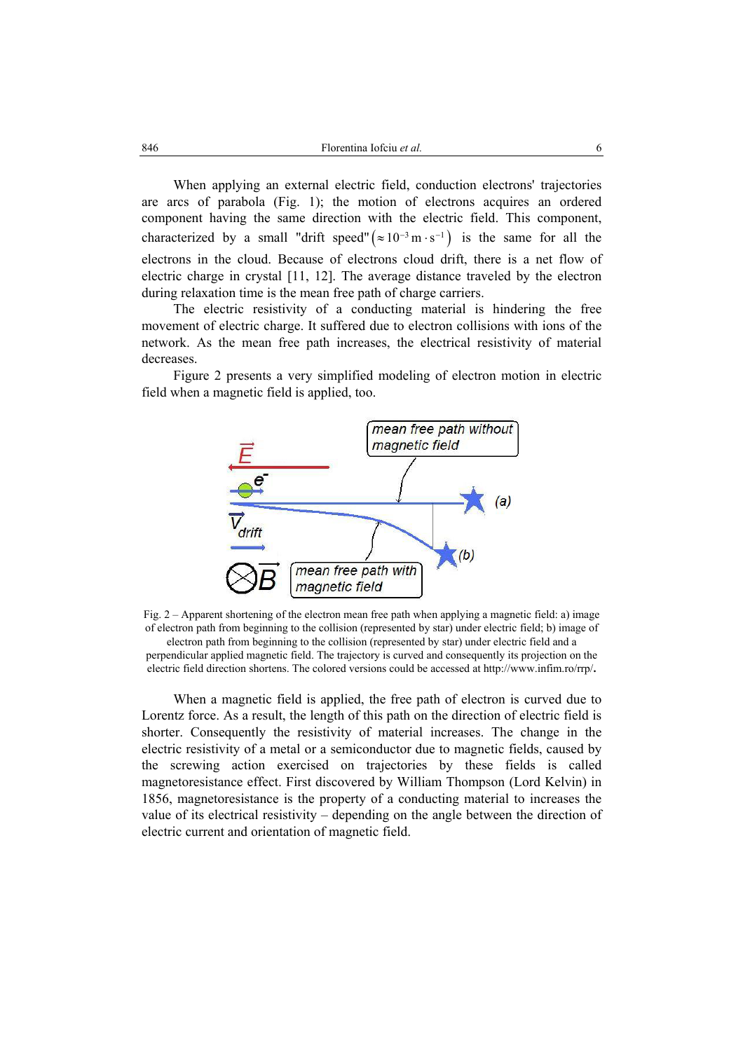When applying an external electric field, conduction electrons' trajectories are arcs of parabola (Fig. 1); the motion of electrons acquires an ordered component having the same direction with the electric field. This component, characterized by a small "drift speed" ( $\approx 10^{-3}$  m · s<sup>-1</sup>) is the same for all the electrons in the cloud. Because of electrons cloud drift, there is a net flow of electric charge in crystal [11, 12]. The average distance traveled by the electron during relaxation time is the mean free path of charge carriers.

The electric resistivity of a conducting material is hindering the free movement of electric charge. It suffered due to electron collisions with ions of the network. As the mean free path increases, the electrical resistivity of material decreases.

Figure 2 presents a very simplified modeling of electron motion in electric field when a magnetic field is applied, too.



Fig. 2 – Apparent shortening of the electron mean free path when applying a magnetic field: a) image of electron path from beginning to the collision (represented by star) under electric field; b) image of electron path from beginning to the collision (represented by star) under electric field and a

perpendicular applied magnetic field. The trajectory is curved and consequently its projection on the electric field direction shortens. The colored versions could be accessed at http://www.infim.ro/rrp/**.**

When a magnetic field is applied, the free path of electron is curved due to Lorentz force. As a result, the length of this path on the direction of electric field is shorter. Consequently the resistivity of material increases. The change in the electric resistivity of a metal or a semiconductor due to magnetic fields, caused by the screwing action exercised on trajectories by these fields is called magnetoresistance effect. First discovered by William Thompson (Lord Kelvin) in 1856, magnetoresistance is the property of a conducting material to increases the value of its electrical resistivity – depending on the angle between the direction of electric current and orientation of magnetic field.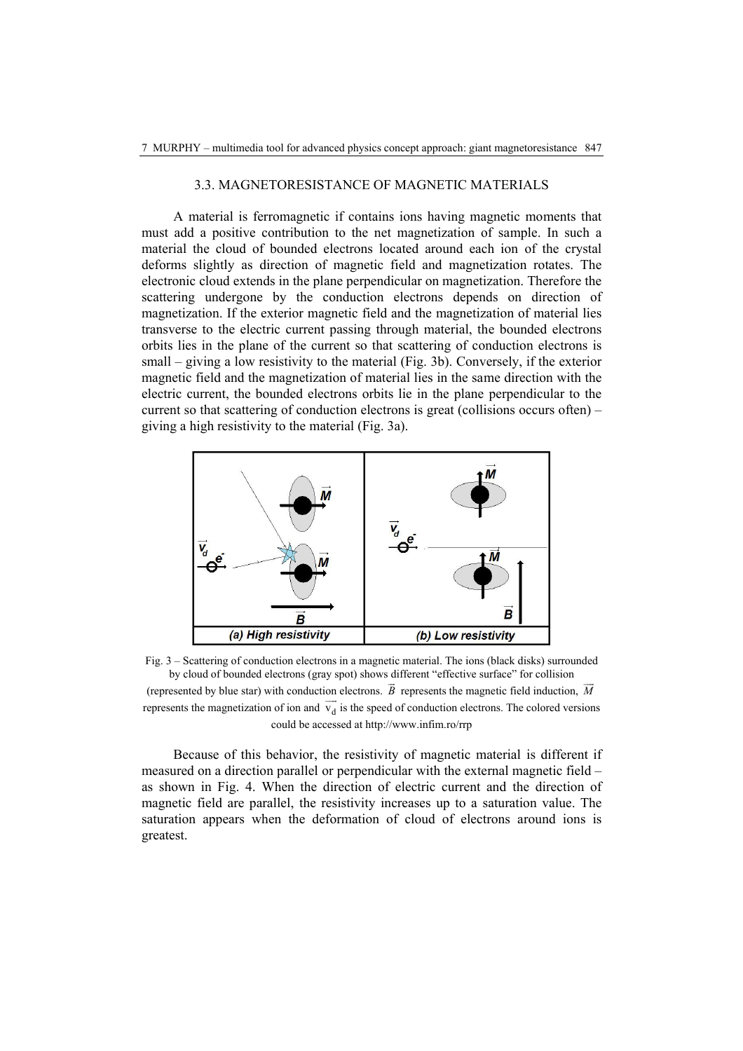### 3.3. MAGNETORESISTANCE OF MAGNETIC MATERIALS

A material is ferromagnetic if contains ions having magnetic moments that must add a positive contribution to the net magnetization of sample. In such a material the cloud of bounded electrons located around each ion of the crystal deforms slightly as direction of magnetic field and magnetization rotates. The electronic cloud extends in the plane perpendicular on magnetization. Therefore the scattering undergone by the conduction electrons depends on direction of magnetization. If the exterior magnetic field and the magnetization of material lies transverse to the electric current passing through material, the bounded electrons orbits lies in the plane of the current so that scattering of conduction electrons is small – giving a low resistivity to the material (Fig. 3b). Conversely, if the exterior magnetic field and the magnetization of material lies in the same direction with the electric current, the bounded electrons orbits lie in the plane perpendicular to the current so that scattering of conduction electrons is great (collisions occurs often) – giving a high resistivity to the material (Fig. 3a).



Fig. 3 – Scattering of conduction electrons in a magnetic material. The ions (black disks) surrounded by cloud of bounded electrons (gray spot) shows different "effective surface" for collision (represented by blue star) with conduction electrons. *B* represents the magnetic field induction, *M*  $\overline{\phantom{a}}$ represents the magnetization of ion and  $\overline{v_d}$  is the speed of conduction electrons. The colored versions could be accessed at http://www.infim.ro/rrp

Because of this behavior, the resistivity of magnetic material is different if measured on a direction parallel or perpendicular with the external magnetic field – as shown in Fig. 4. When the direction of electric current and the direction of magnetic field are parallel, the resistivity increases up to a saturation value. The saturation appears when the deformation of cloud of electrons around ions is greatest.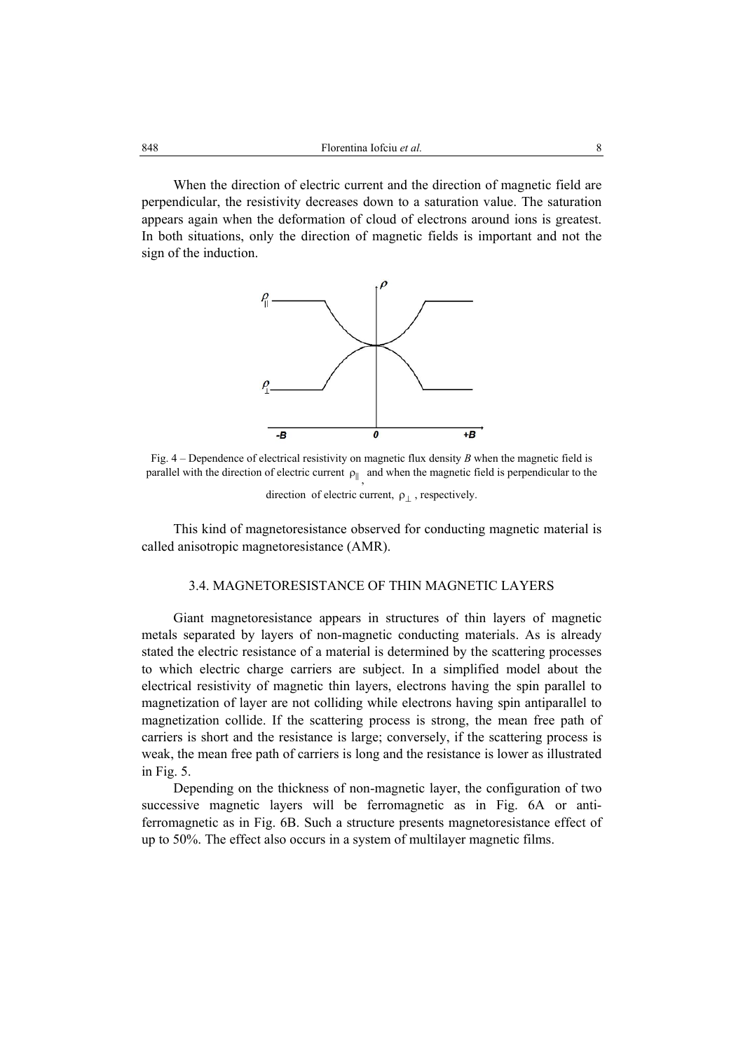When the direction of electric current and the direction of magnetic field are perpendicular, the resistivity decreases down to a saturation value. The saturation appears again when the deformation of cloud of electrons around ions is greatest. In both situations, only the direction of magnetic fields is important and not the sign of the induction.



Fig. 4 – Dependence of electrical resistivity on magnetic flux density *B* when the magnetic field is parallel with the direction of electric current  $\rho_{\parallel}$ , and when the magnetic field is perpendicular to the

direction of electric current,  $\rho_{\perp}$ , respectively.

This kind of magnetoresistance observed for conducting magnetic material is called anisotropic magnetoresistance (AMR).

# 3.4. MAGNETORESISTANCE OF THIN MAGNETIC LAYERS

Giant magnetoresistance appears in structures of thin layers of magnetic metals separated by layers of non-magnetic conducting materials. As is already stated the electric resistance of a material is determined by the scattering processes to which electric charge carriers are subject. In a simplified model about the electrical resistivity of magnetic thin layers, electrons having the spin parallel to magnetization of layer are not colliding while electrons having spin antiparallel to magnetization collide. If the scattering process is strong, the mean free path of carriers is short and the resistance is large; conversely, if the scattering process is weak, the mean free path of carriers is long and the resistance is lower as illustrated in Fig. 5.

Depending on the thickness of non-magnetic layer, the configuration of two successive magnetic layers will be ferromagnetic as in Fig. 6A or antiferromagnetic as in Fig. 6B. Such a structure presents magnetoresistance effect of up to 50%. The effect also occurs in a system of multilayer magnetic films.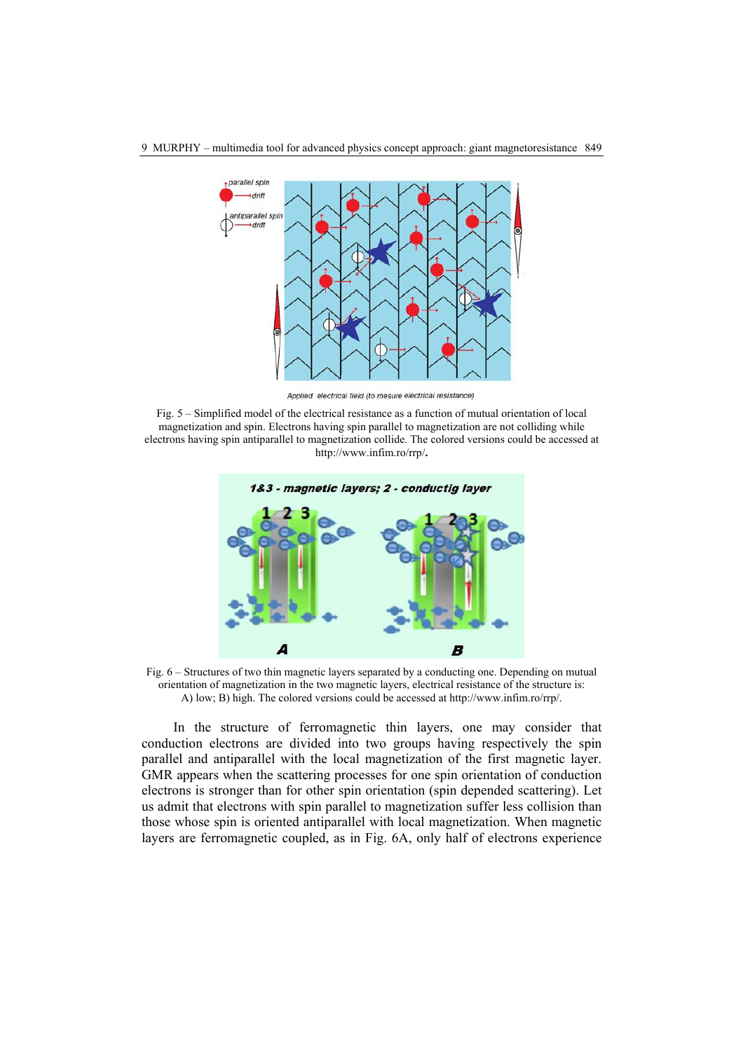

9 MURPHY – multimedia tool for advanced physics concept approach: giant magnetoresistance 849

Applied electrical field (to mesure electrical resistance)

Fig. 5 – Simplified model of the electrical resistance as a function of mutual orientation of local magnetization and spin. Electrons having spin parallel to magnetization are not colliding while electrons having spin antiparallel to magnetization collide. The colored versions could be accessed at http://www.infim.ro/rrp/**.**



Fig. 6 – Structures of two thin magnetic layers separated by a conducting one. Depending on mutual orientation of magnetization in the two magnetic layers, electrical resistance of the structure is: A) low; B) high. The colored versions could be accessed at http://www.infim.ro/rrp/.

In the structure of ferromagnetic thin layers, one may consider that conduction electrons are divided into two groups having respectively the spin parallel and antiparallel with the local magnetization of the first magnetic layer. GMR appears when the scattering processes for one spin orientation of conduction electrons is stronger than for other spin orientation (spin depended scattering). Let us admit that electrons with spin parallel to magnetization suffer less collision than those whose spin is oriented antiparallel with local magnetization. When magnetic layers are ferromagnetic coupled, as in Fig. 6A, only half of electrons experience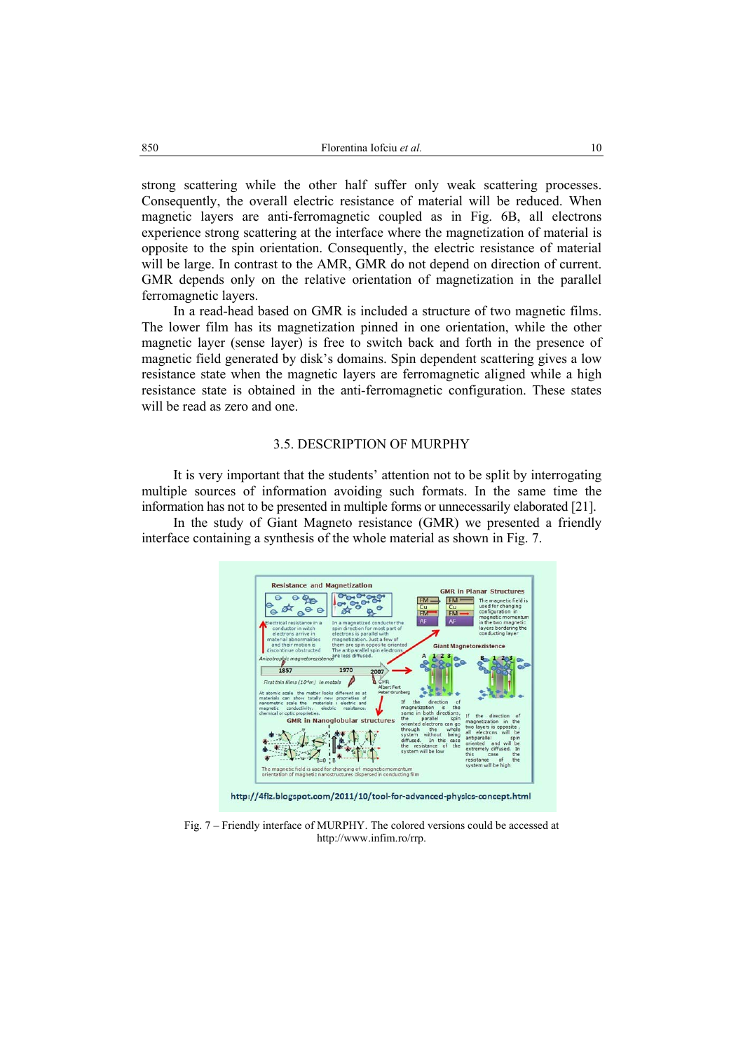strong scattering while the other half suffer only weak scattering processes. Consequently, the overall electric resistance of material will be reduced. When magnetic layers are anti-ferromagnetic coupled as in Fig. 6B, all electrons experience strong scattering at the interface where the magnetization of material is opposite to the spin orientation. Consequently, the electric resistance of material will be large. In contrast to the AMR, GMR do not depend on direction of current. GMR depends only on the relative orientation of magnetization in the parallel ferromagnetic layers.

In a read-head based on GMR is included a structure of two magnetic films. The lower film has its magnetization pinned in one orientation, while the other magnetic layer (sense layer) is free to switch back and forth in the presence of magnetic field generated by disk's domains. Spin dependent scattering gives a low resistance state when the magnetic layers are ferromagnetic aligned while a high resistance state is obtained in the anti-ferromagnetic configuration. These states will be read as zero and one.

#### 3.5. DESCRIPTION OF MURPHY

It is very important that the students' attention not to be split by interrogating multiple sources of information avoiding such formats. In the same time the information has not to be presented in multiple forms or unnecessarily elaborated [21].

In the study of Giant Magneto resistance (GMR) we presented a friendly interface containing a synthesis of the whole material as shown in Fig. 7.



Fig. 7 – Friendly interface of MURPHY. The colored versions could be accessed at http://www.infim.ro/rrp.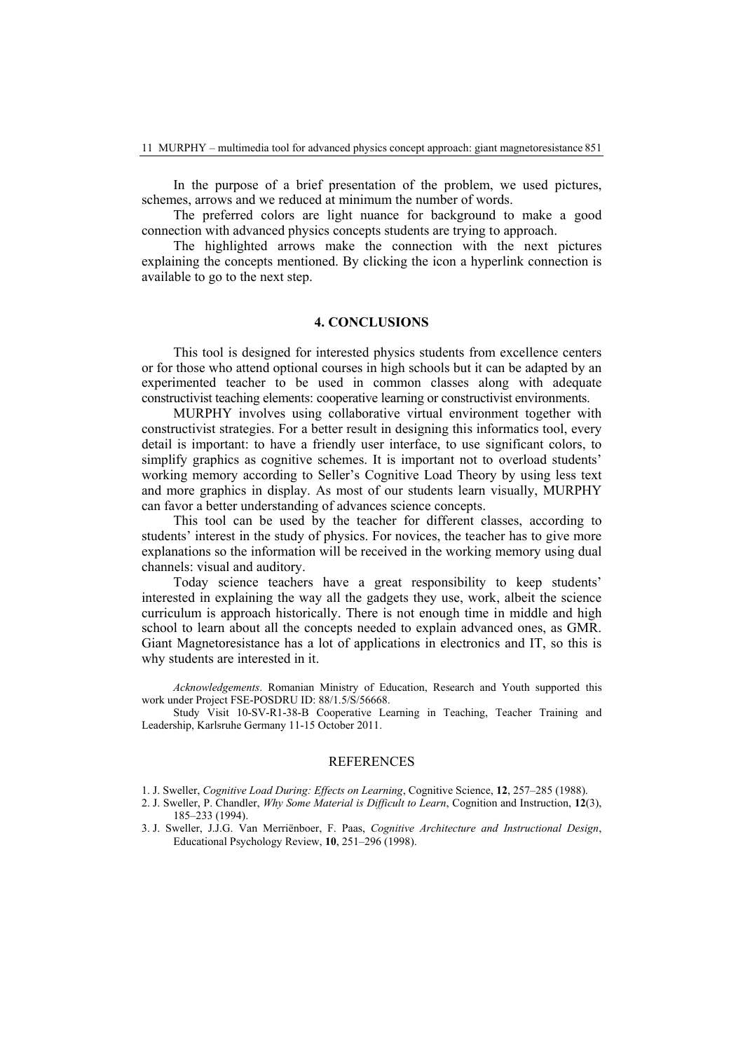In the purpose of a brief presentation of the problem, we used pictures, schemes, arrows and we reduced at minimum the number of words.

The preferred colors are light nuance for background to make a good connection with advanced physics concepts students are trying to approach.

The highlighted arrows make the connection with the next pictures explaining the concepts mentioned. By clicking the icon a hyperlink connection is available to go to the next step.

### **4. CONCLUSIONS**

This tool is designed for interested physics students from excellence centers or for those who attend optional courses in high schools but it can be adapted by an experimented teacher to be used in common classes along with adequate constructivist teaching elements: cooperative learning or constructivist environments.

MURPHY involves using collaborative virtual environment together with constructivist strategies. For a better result in designing this informatics tool, every detail is important: to have a friendly user interface, to use significant colors, to simplify graphics as cognitive schemes. It is important not to overload students' working memory according to Seller's Cognitive Load Theory by using less text and more graphics in display. As most of our students learn visually, MURPHY can favor a better understanding of advances science concepts.

This tool can be used by the teacher for different classes, according to students' interest in the study of physics. For novices, the teacher has to give more explanations so the information will be received in the working memory using dual channels: visual and auditory.

Today science teachers have a great responsibility to keep students' interested in explaining the way all the gadgets they use, work, albeit the science curriculum is approach historically. There is not enough time in middle and high school to learn about all the concepts needed to explain advanced ones, as GMR. Giant Magnetoresistance has a lot of applications in electronics and IT, so this is why students are interested in it.

*Acknowledgements*. Romanian Ministry of Education, Research and Youth supported this work under Project FSE-POSDRU ID: 88/1.5/S/56668.

Study Visit 10-SV-R1-38-B Cooperative Learning in Teaching, Teacher Training and Leadership, Karlsruhe Germany 11-15 October 2011.

#### **REFERENCES**

1. J. Sweller, *Cognitive Load During: Effects on Learning*, Cognitive Science, **12**, 257–285 (1988).

- 2. J. Sweller, P. Chandler, *Why Some Material is Difficult to Learn*, Cognition and Instruction, **12**(3), 185–233 (1994).
- 3. J. Sweller, J.J.G. Van Merriënboer, F. Paas, *Cognitive Architecture and Instructional Design*, Educational Psychology Review, **10**, 251–296 (1998).